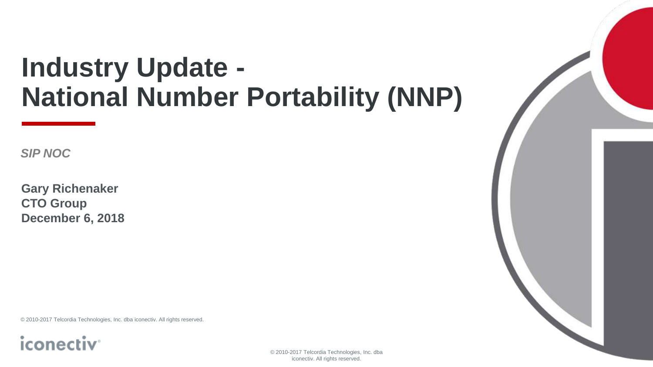# **Industry Update - National Number Portability (NNP)**

*SIP NOC*

**Gary Richenaker CTO Group December 6, 2018**

© 2010-2017 Telcordia Technologies, Inc. dba iconectiv. All rights reserved.



© 2010-2017 Telcordia Technologies, Inc. dba iconectiv. All rights reserved.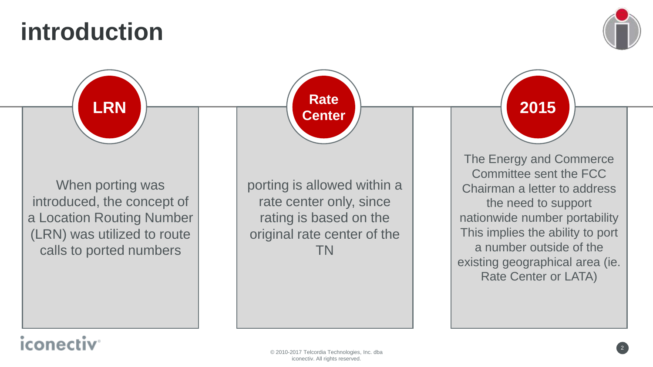### **introduction**



When porting was introduced, the concept of a Location Routing Number (LRN) was utilized to route calls to ported numbers **LRN** The Energy and Commerce Committee sent the FCC Chairman a letter to address the need to support nationwide number portability This implies the ability to port a number outside of the existing geographical area (ie. Rate Center or LATA) **2015** porting is allowed within a rate center only, since rating is based on the original rate center of the TN **Rate Center**

#### iconed

© 2010-2017 Telcordia Technologies, Inc. dba iconectiv. All rights reserved.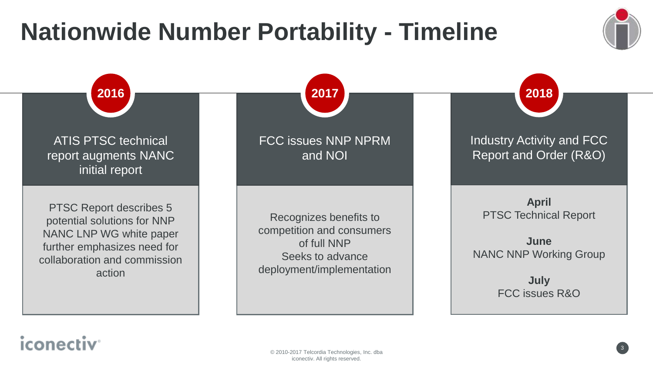### **Nationwide Number Portability - Timeline**





### *iconectiv*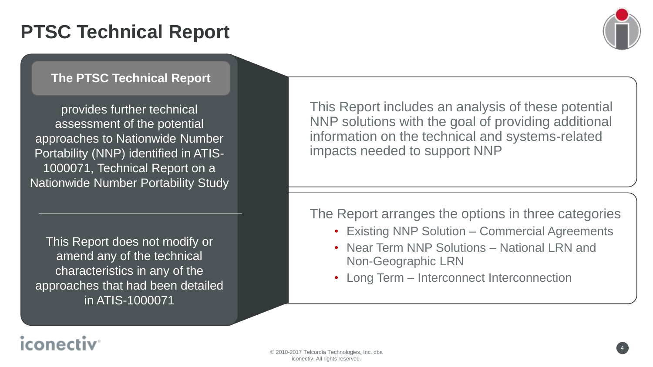### **PTSC Technical Report**



#### **The PTSC Technical Report**

provides further technical assessment of the potential approaches to Nationwide Number Portability (NNP) identified in ATIS-1000071, Technical Report on a Nationwide Number Portability Study

This Report does not modify or amend any of the technical characteristics in any of the approaches that had been detailed in ATIS-1000071

© 2010-2017 Telcordia Technologies, Inc. dba iconectiv. All rights reserved.

This Report includes an analysis of these potential NNP solutions with the goal of providing additional information on the technical and systems-related impacts needed to support NNP

The Report arranges the options in three categories

- Existing NNP Solution Commercial Agreements
- Near Term NNP Solutions National LRN and Non-Geographic LRN
- Long Term Interconnect Interconnection

### iconec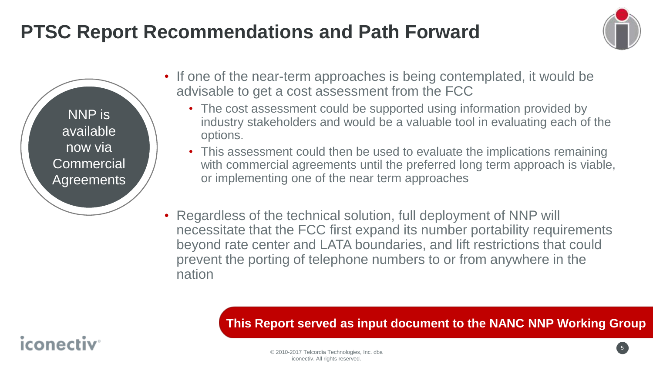### **PTSC Report Recommendations and Path Forward**



NNP is available now via **Commercial Agreements** 

iconec

- If one of the near-term approaches is being contemplated, it would be advisable to get a cost assessment from the FCC
	- The cost assessment could be supported using information provided by industry stakeholders and would be a valuable tool in evaluating each of the options.
	- This assessment could then be used to evaluate the implications remaining with commercial agreements until the preferred long term approach is viable, or implementing one of the near term approaches
- Regardless of the technical solution, full deployment of NNP will necessitate that the FCC first expand its number portability requirements beyond rate center and LATA boundaries, and lift restrictions that could prevent the porting of telephone numbers to or from anywhere in the nation

**This Report served as input document to the NANC NNP Working Group**

5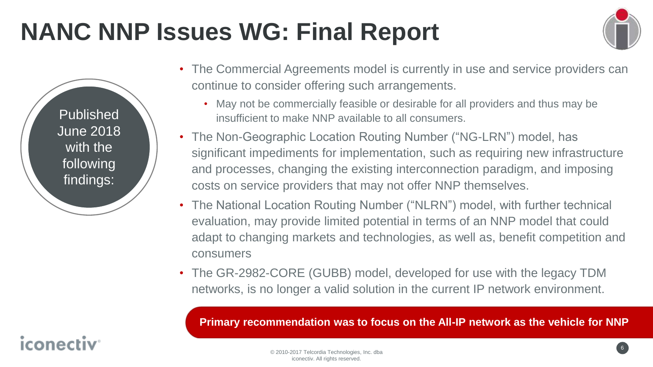## **NANC NNP Issues WG: Final Report**



6

- The Commercial Agreements model is currently in use and service providers can continue to consider offering such arrangements.
	- May not be commercially feasible or desirable for all providers and thus may be insufficient to make NNP available to all consumers.
- The Non-Geographic Location Routing Number ("NG-LRN") model, has significant impediments for implementation, such as requiring new infrastructure and processes, changing the existing interconnection paradigm, and imposing costs on service providers that may not offer NNP themselves.
- The National Location Routing Number ("NLRN") model, with further technical evaluation, may provide limited potential in terms of an NNP model that could adapt to changing markets and technologies, as well as, benefit competition and consumers
- The GR-2982-CORE (GUBB) model, developed for use with the legacy TDM networks, is no longer a valid solution in the current IP network environment.

© 2010-2017 Telcordia Technologies, Inc. dba iconectiv. All rights reserved. **Primary recommendation was to focus on the All-IP network as the vehicle for NNP**

### iconec

Published

June 2018

with the

following

findings: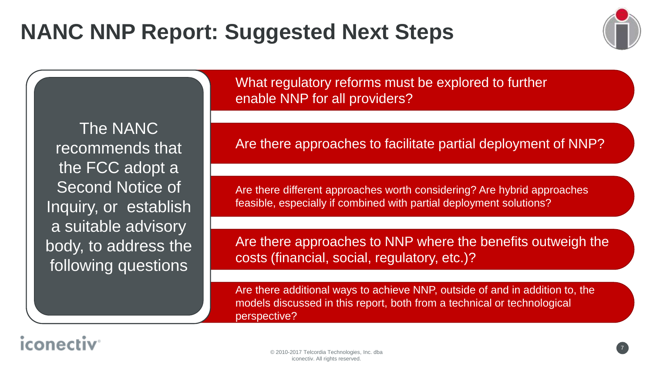

The NANC recommends that the FCC adopt a Second Notice of Inquiry, or establish a suitable advisory body, to address the following questions

© 2010-2017 Telcordia Technologies, Inc. dba iconectiv. All rights reserved.

What regulatory reforms must be explored to further enable NNP for all providers?

Are there approaches to facilitate partial deployment of NNP?

Are there different approaches worth considering? Are hybrid approaches feasible, especially if combined with partial deployment solutions?

Are there approaches to NNP where the benefits outweigh the costs (financial, social, regulatory, etc.)?

Are there additional ways to achieve NNP, outside of and in addition to, the models discussed in this report, both from a technical or technological perspective?

### iconectiv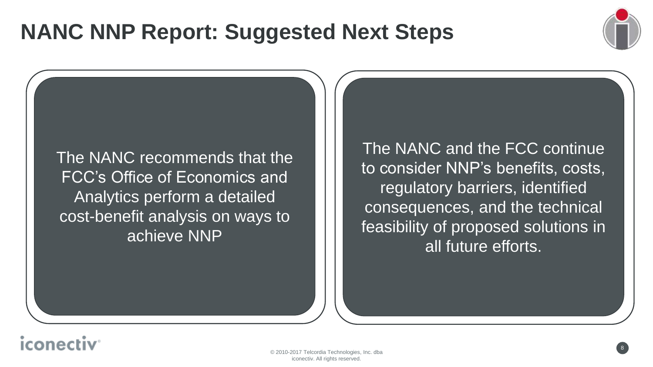### **NANC NNP Report: Suggested Next Steps**



The NANC recommends that the FCC's Office of Economics and Analytics perform a detailed cost-benefit analysis on ways to achieve NNP

The NANC and the FCC continue to consider NNP's benefits, costs, regulatory barriers, identified consequences, and the technical feasibility of proposed solutions in all future efforts.

### iconed

© 2010-2017 Telcordia Technologies, Inc. dba iconectiv. All rights reserved.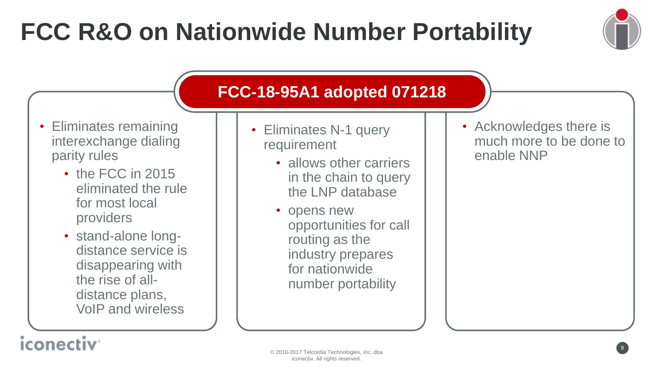# **FCC R&O on Nationwide Number Portability**



#### • Eliminates remaining interexchange dialing parity rules

- the FCC in 2015 eliminated the rule for most local providers
- stand-alone longdistance service is disappearing with the rise of alldistance plans, VoIP and wireless

© 2010-2017 Telcordia Technologies, Inc. dba iconectiv. All rights reserved.

#### **FCC-18-95A1 adopted 071218 95A1 071218**

- Eliminates N-1 query requirement
	- allows other carriers in the chain to query the LNP database
	- opens new opportunities for call routing as the industry prepares for nationwide number portability

• Acknowledges there is much more to be done to enable NNP

#### **iconectiv**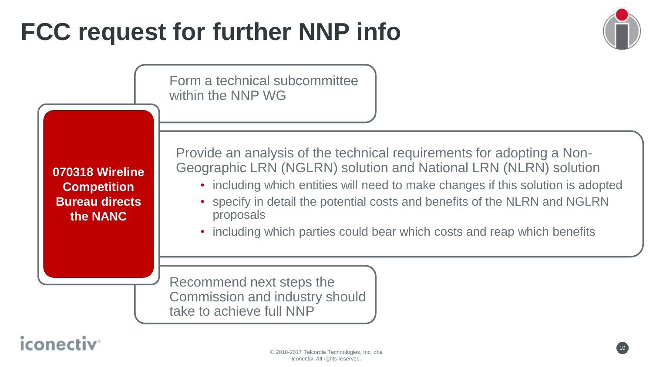# **FCC request for further NNP info**



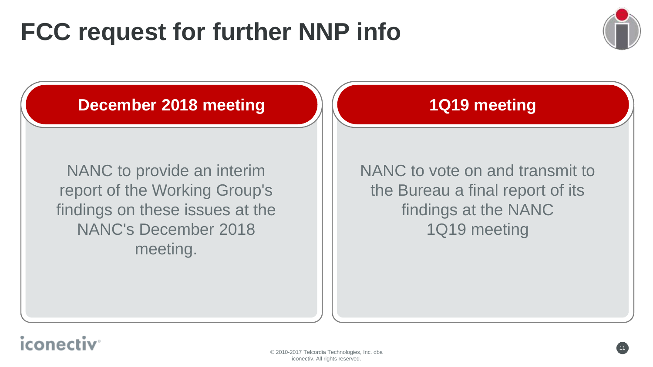## **FCC request for further NNP info**



#### **December 2018 meeting**

findings on these issues at the NANC to provide an interim report of the Working Group's NANC's December 2018 meeting.

#### **1Q19 meeting**

findings at the NANC NANC to vote on and transmit to the Bureau a final report of its 1Q19 meeting

#### iconec

© 2010-2017 Telcordia Technologies, Inc. dba iconectiv. All rights reserved.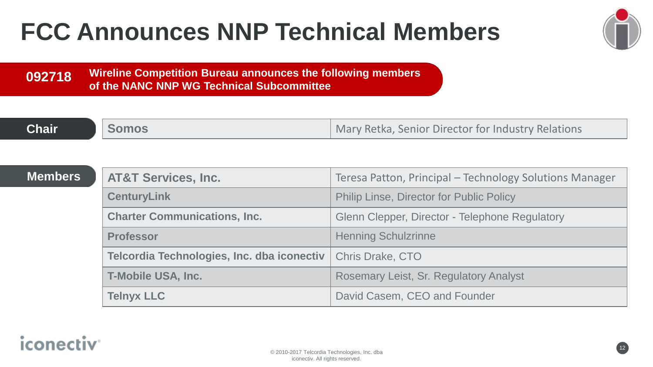## **FCC Announces NNP Technical Members**



**Wireline Competition Bureau announces the following members of the NANC NNP WG Technical Subcommittee 092718**

| <b>Chair</b> | <b>Nomos</b> | Mary Retka, Senior Director for Industry Relations |
|--------------|--------------|----------------------------------------------------|

| <b>Members</b> | <b>AT&amp;T Services, Inc.</b>             | Teresa Patton, Principal - Technology Solutions Manager |
|----------------|--------------------------------------------|---------------------------------------------------------|
|                | <b>CenturyLink</b>                         | <b>Philip Linse, Director for Public Policy</b>         |
|                | <b>Charter Communications, Inc.</b>        | Glenn Clepper, Director - Telephone Regulatory          |
|                | <b>Professor</b>                           | <b>Henning Schulzrinne</b>                              |
|                | Telcordia Technologies, Inc. dba iconectiv | <b>Chris Drake, CTO</b>                                 |
|                | <b>T-Mobile USA, Inc.</b>                  | <b>Rosemary Leist, Sr. Regulatory Analyst</b>           |
|                | <b>Telnyx LLC</b>                          | David Casem, CEO and Founder                            |

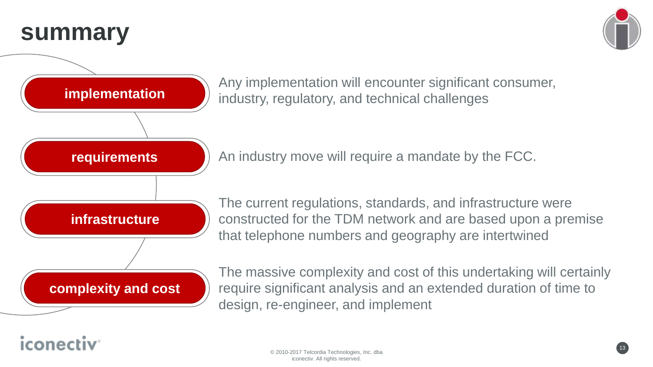### **summary**